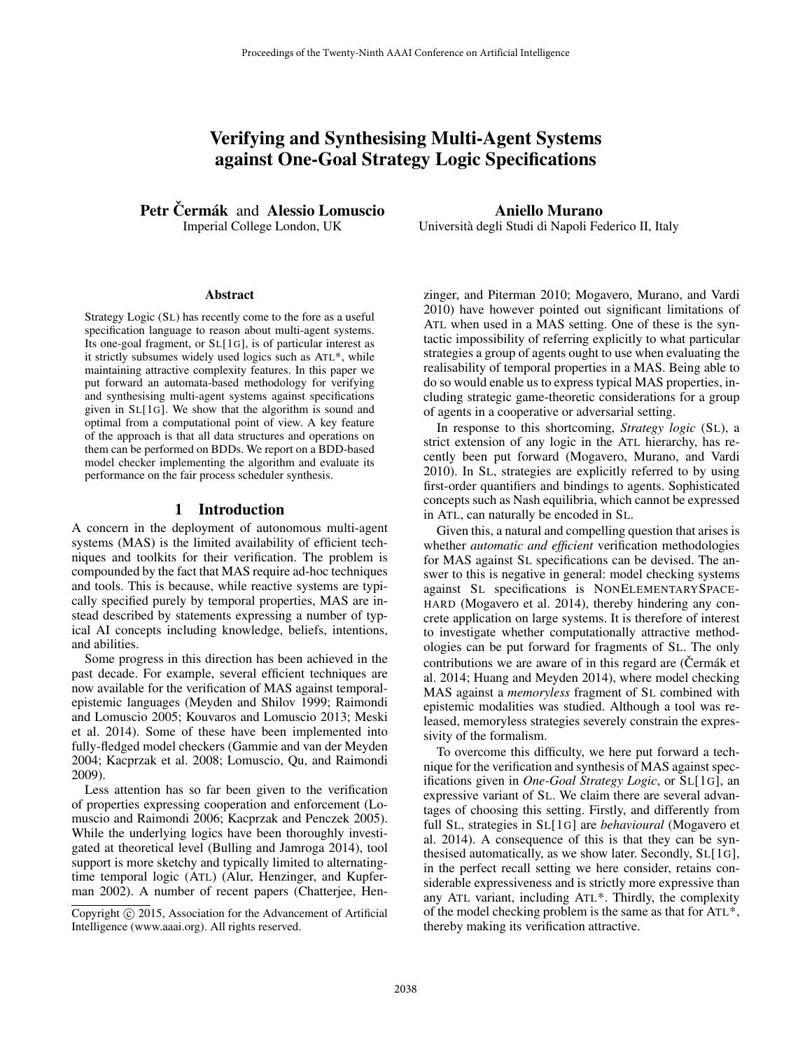# Verifying and Synthesising Multi-Agent Systems against One-Goal Strategy Logic Specifications

Petr Čermák and Alessio Lomuscio Imperial College London, UK

#### **Abstract**

Strategy Logic (SL) has recently come to the fore as a useful specification language to reason about multi-agent systems. Its one-goal fragment, or SL[1G], is of particular interest as it strictly subsumes widely used logics such as ATL\*, while maintaining attractive complexity features. In this paper we put forward an automata-based methodology for verifying and synthesising multi-agent systems against specifications given in SL[1G]. We show that the algorithm is sound and optimal from a computational point of view. A key feature of the approach is that all data structures and operations on them can be performed on BDDs. We report on a BDD-based model checker implementing the algorithm and evaluate its performance on the fair process scheduler synthesis.

# 1 Introduction

A concern in the deployment of autonomous multi-agent systems (MAS) is the limited availability of efficient techniques and toolkits for their verification. The problem is compounded by the fact that MAS require ad-hoc techniques and tools. This is because, while reactive systems are typically specified purely by temporal properties, MAS are instead described by statements expressing a number of typical AI concepts including knowledge, beliefs, intentions, and abilities.

Some progress in this direction has been achieved in the past decade. For example, several efficient techniques are now available for the verification of MAS against temporalepistemic languages (Meyden and Shilov 1999; Raimondi and Lomuscio 2005; Kouvaros and Lomuscio 2013; Meski et al. 2014). Some of these have been implemented into fully-fledged model checkers (Gammie and van der Meyden 2004; Kacprzak et al. 2008; Lomuscio, Qu, and Raimondi 2009).

Less attention has so far been given to the verification of properties expressing cooperation and enforcement (Lomuscio and Raimondi 2006; Kacprzak and Penczek 2005). While the underlying logics have been thoroughly investigated at theoretical level (Bulling and Jamroga 2014), tool support is more sketchy and typically limited to alternatingtime temporal logic (ATL) (Alur, Henzinger, and Kupferman 2002). A number of recent papers (Chatterjee, Hen-

Aniello Murano Universita degli Studi di Napoli Federico II, Italy `

zinger, and Piterman 2010; Mogavero, Murano, and Vardi 2010) have however pointed out significant limitations of ATL when used in a MAS setting. One of these is the syntactic impossibility of referring explicitly to what particular strategies a group of agents ought to use when evaluating the realisability of temporal properties in a MAS. Being able to do so would enable us to express typical MAS properties, including strategic game-theoretic considerations for a group of agents in a cooperative or adversarial setting.

In response to this shortcoming, *Strategy logic* (SL), a strict extension of any logic in the ATL hierarchy, has recently been put forward (Mogavero, Murano, and Vardi 2010). In SL, strategies are explicitly referred to by using first-order quantifiers and bindings to agents. Sophisticated concepts such as Nash equilibria, which cannot be expressed in ATL, can naturally be encoded in SL.

Given this, a natural and compelling question that arises is whether *automatic and efficient* verification methodologies for MAS against SL specifications can be devised. The answer to this is negative in general: model checking systems against SL specifications is NONELEMENTARYSPACE-HARD (Mogavero et al. 2014), thereby hindering any concrete application on large systems. It is therefore of interest to investigate whether computationally attractive methodologies can be put forward for fragments of SL. The only contributions we are aware of in this regard are  $(Čermák et$ al. 2014; Huang and Meyden 2014), where model checking MAS against a *memoryless* fragment of SL combined with epistemic modalities was studied. Although a tool was released, memoryless strategies severely constrain the expressivity of the formalism.

To overcome this difficulty, we here put forward a technique for the verification and synthesis of MAS against specifications given in *One-Goal Strategy Logic*, or SL[1G], an expressive variant of SL. We claim there are several advantages of choosing this setting. Firstly, and differently from full SL, strategies in SL[1G] are *behavioural* (Mogavero et al. 2014). A consequence of this is that they can be synthesised automatically, as we show later. Secondly, SL[1G], in the perfect recall setting we here consider, retains considerable expressiveness and is strictly more expressive than any ATL variant, including ATL\*. Thirdly, the complexity of the model checking problem is the same as that for ATL\*, thereby making its verification attractive.

Copyright © 2015, Association for the Advancement of Artificial Intelligence (www.aaai.org). All rights reserved.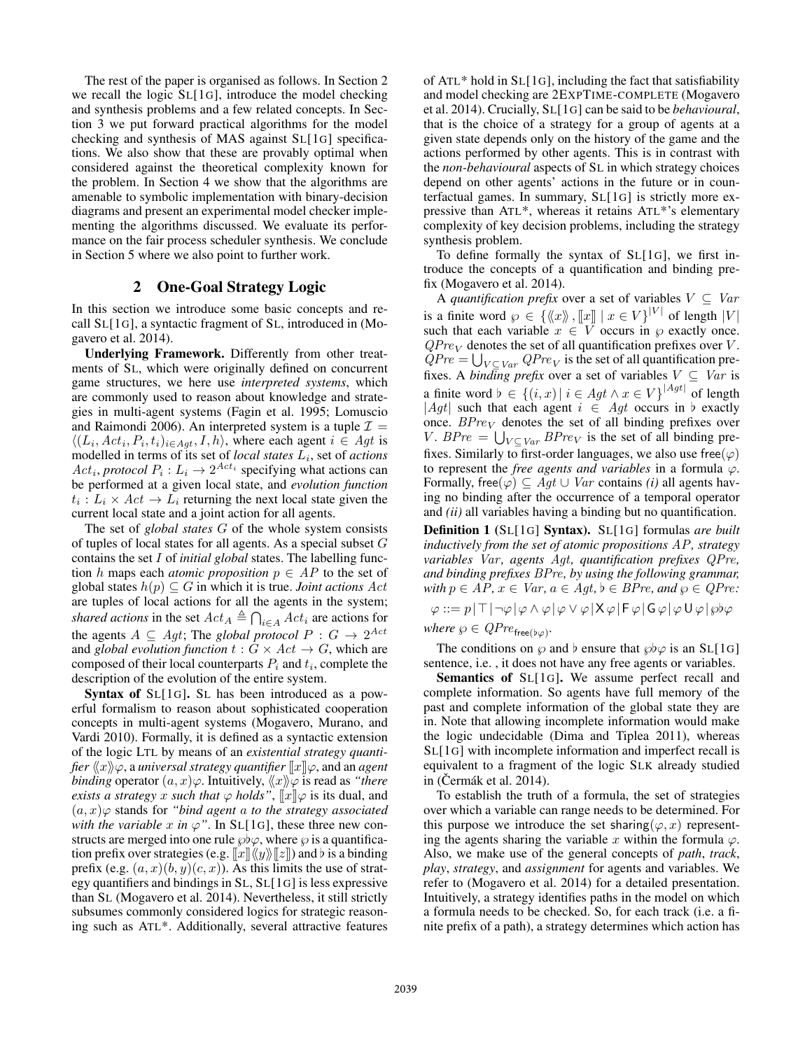The rest of the paper is organised as follows. In Section 2 we recall the logic SL[1G], introduce the model checking and synthesis problems and a few related concepts. In Section 3 we put forward practical algorithms for the model checking and synthesis of MAS against SL[1G] specifications. We also show that these are provably optimal when considered against the theoretical complexity known for the problem. In Section 4 we show that the algorithms are amenable to symbolic implementation with binary-decision diagrams and present an experimental model checker implementing the algorithms discussed. We evaluate its performance on the fair process scheduler synthesis. We conclude in Section 5 where we also point to further work.

#### 2 One-Goal Strategy Logic

In this section we introduce some basic concepts and recall SL[1G], a syntactic fragment of SL, introduced in (Mogavero et al. 2014).

Underlying Framework. Differently from other treatments of SL, which were originally defined on concurrent game structures, we here use *interpreted systems*, which are commonly used to reason about knowledge and strategies in multi-agent systems (Fagin et al. 1995; Lomuscio and Raimondi 2006). An interpreted system is a tuple  $\mathcal{I} =$  $\langle (L_i, Act_i, P_i, t_i)_{i \in Agt}, I, h \rangle$ , where each agent  $i \in Agt$  is modelled in terms of its set of *local states*  $L_i$ , set of *actions*  $Act_i, protocol P_i: L_i \rightarrow 2^{Act_i}$  specifying what actions can be performed at a given local state, and *evolution function*  $t_i: L_i \times Act \rightarrow L_i$  returning the next local state given the current local state and a joint action for all agents.

The set of *global states* G of the whole system consists of tuples of local states for all agents. As a special subset G contains the set I of *initial global* states. The labelling function h maps each *atomic proposition*  $p \in AP$  to the set of global states  $h(p) \subseteq G$  in which it is true. *Joint actions Act* are tuples of local actions for all the agents in the system; *shared actions* in the set  $Act_A \triangleq \bigcap_{i \in A} Act_i$  are actions for the agents  $A \subseteq Agt$ ; The *global protocol*  $P : G \rightarrow 2^{Act}$ and *global evolution function*  $t : G \times Act \rightarrow G$ , which are composed of their local counterparts  $P_i$  and  $t_i$ , complete the description of the evolution of the entire system.

Syntax of SL[1G]. SL has been introduced as a powerful formalism to reason about sophisticated cooperation concepts in multi-agent systems (Mogavero, Murano, and Vardi 2010). Formally, it is defined as a syntactic extension of the logic LTL by means of an *existential strategy quantifier*  $\langle x \rangle \varphi$ , a *universal strategy quantifier*  $\langle x | \varphi \rangle$ , and an *agent binding* operator  $(a, x)\varphi$ . Intuitively,  $\langle x \rangle \varphi$  is read as *"there exists a strategy* x *such that*  $\varphi$  *holds*",  $\Vert x \Vert \varphi$  is its dual, and  $(a, x)$  $\varphi$  stands for *"bind agent a to the strategy associated with the variable* x *in*  $\varphi$ ". In SL[1G], these three new constructs are merged into one rule  $\wp \flat \varphi$ , where  $\varphi$  is a quantification prefix over strategies (e.g.  $\llbracket x \rrbracket \langle \langle y \rangle \rangle \llbracket z \rrbracket$ ) and  $\flat$  is a binding prefix (e.g.  $(a, x)(b, y)(c, x)$ ). As this limits the use of strategy quantifiers and bindings in SL, SL[1G] is less expressive than SL (Mogavero et al. 2014). Nevertheless, it still strictly subsumes commonly considered logics for strategic reasoning such as ATL\*. Additionally, several attractive features

of ATL\* hold in SL[1G], including the fact that satisfiability and model checking are 2EXPTIME-COMPLETE (Mogavero et al. 2014). Crucially, SL[1G] can be said to be *behavioural*, that is the choice of a strategy for a group of agents at a given state depends only on the history of the game and the actions performed by other agents. This is in contrast with the *non-behavioural* aspects of SL in which strategy choices depend on other agents' actions in the future or in counterfactual games. In summary, SL[1G] is strictly more expressive than ATL\*, whereas it retains ATL\*'s elementary complexity of key decision problems, including the strategy synthesis problem.

To define formally the syntax of SL[1G], we first introduce the concepts of a quantification and binding prefix (Mogavero et al. 2014).

A *quantification prefix* over a set of variables  $V \subseteq Var$ is a finite word  $\varphi \in {\{\langle\langle x\rangle\rangle, [x] \mid x \in V\}}^{|V|}$  of length  $|V|$ such that each variable  $x \in V$  occurs in  $\wp$  exactly once.  $QPre<sub>V</sub>$  denotes the set of all quantification prefixes over V.  $QPre = \bigcup_{V \subseteq Var} QPre_V$  is the set of all quantification prefixes. A *binding prefix* over a set of variables  $V \subseteq Var$  is a finite word  $\flat \in \{(i, x) | i \in Agt \land x \in V\}^{|Agt|}$  of length |Agt| such that each agent  $i \in Agt$  occurs in b exactly once.  $BPre<sub>V</sub>$  denotes the set of all binding prefixes over V.  $BPre = \bigcup_{V \subseteq Var} BPre_V$  is the set of all binding prefixes. Similarly to first-order languages, we also use free( $\varphi$ ) to represent the *free agents and variables* in a formula ϕ. Formally, free( $\varphi$ )  $\subset$  *Aqt*  $\cup$  *Var* contains *(i)* all agents having no binding after the occurrence of a temporal operator and *(ii)* all variables having a binding but no quantification.

Definition 1 (SL[1G] Syntax). SL[1G] formulas *are built inductively from the set of atomic propositions* AP*, strategy variables Var*, *agents Agt*, *quantification prefixes QPre*, *and binding prefixes* BPre*, by using the following grammar, with*  $p \in AP$ ,  $x \in Var$ ,  $a \in Agt$ ,  $b \in BPre$ , and  $\varphi \in QPre$ :  $\varphi ::= p |T| \neg \varphi | \varphi \wedge \varphi | \varphi \vee \varphi | X \varphi | F \varphi | G \varphi | \varphi U \varphi | \varphi b \varphi$  $where \wp \in QPre_{\mathsf{free}(\flat \varphi)}$ .

The conditions on  $\wp$  and  $\flat$  ensure that  $\wp \flat \varphi$  is an SL[1G] sentence, i.e. , it does not have any free agents or variables.

Semantics of SL[1G]. We assume perfect recall and complete information. So agents have full memory of the past and complete information of the global state they are in. Note that allowing incomplete information would make the logic undecidable (Dima and Tiplea 2011), whereas SL[1G] with incomplete information and imperfect recall is equivalent to a fragment of the logic SLK already studied in (Cermák et al.  $2014$ ).

To establish the truth of a formula, the set of strategies over which a variable can range needs to be determined. For this purpose we introduce the set sharing( $\varphi, x$ ) representing the agents sharing the variable x within the formula  $\varphi$ . Also, we make use of the general concepts of *path*, *track*, *play*, *strategy*, and *assignment* for agents and variables. We refer to (Mogavero et al. 2014) for a detailed presentation. Intuitively, a strategy identifies paths in the model on which a formula needs to be checked. So, for each track (i.e. a finite prefix of a path), a strategy determines which action has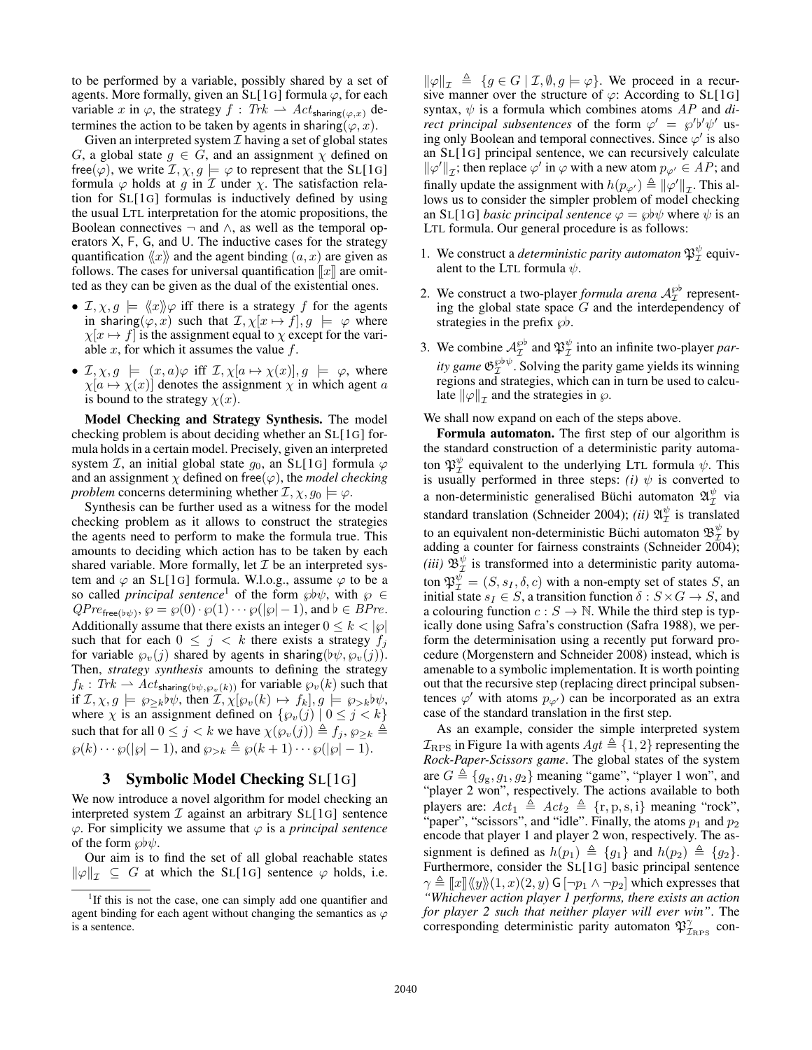to be performed by a variable, possibly shared by a set of agents. More formally, given an SL[1G] formula  $\varphi$ , for each variable x in  $\varphi$ , the strategy  $f : Trk \rightharpoonup Act_{\text{sharp}(\varphi, x)}$  determines the action to be taken by agents in sharing( $\varphi, x$ ).

Given an interpreted system  $\mathcal I$  having a set of global states G, a global state  $g \in G$ , and an assignment  $\chi$  defined on free( $\varphi$ ), we write  $\mathcal{I}, \chi, g \models \varphi$  to represent that the SL[1G] formula  $\varphi$  holds at g in  $\mathcal I$  under  $\chi$ . The satisfaction relation for SL[1G] formulas is inductively defined by using the usual LTL interpretation for the atomic propositions, the Boolean connectives  $\neg$  and  $\wedge$ , as well as the temporal operators X, F, G, and U. The inductive cases for the strategy quantification  $\langle x \rangle$  and the agent binding  $(a, x)$  are given as follows. The cases for universal quantification  $\llbracket x \rrbracket$  are omitted as they can be given as the dual of the existential ones.

- $\mathcal{I}, \chi, g \models \langle x \rangle \varphi$  iff there is a strategy f for the agents in sharing( $\varphi, x$ ) such that  $\mathcal{I}, \chi[x \mapsto f], g \models \varphi$  where  $\chi[x \mapsto f]$  is the assignment equal to  $\chi$  except for the variable  $x$ , for which it assumes the value  $f$ .
- $\mathcal{I}, \chi, g \models (x, a)\varphi \text{ iff } \mathcal{I}, \chi[a \mapsto \chi(x)], g \models \varphi, \text{ where }$  $\chi[a \mapsto \chi(x)]$  denotes the assignment  $\chi$  in which agent a is bound to the strategy  $\chi(x)$ .

Model Checking and Strategy Synthesis. The model checking problem is about deciding whether an SL[1G] formula holds in a certain model. Precisely, given an interpreted system *I*, an initial global state  $g_0$ , an SL[1G] formula  $\varphi$ and an assignment  $\chi$  defined on free( $\varphi$ ), the *model checking problem* concerns determining whether  $\mathcal{I}, \chi, g_0 \models \varphi$ .

Synthesis can be further used as a witness for the model checking problem as it allows to construct the strategies the agents need to perform to make the formula true. This amounts to deciding which action has to be taken by each shared variable. More formally, let  $\mathcal I$  be an interpreted system and  $\varphi$  an SL[1G] formula. W.l.o.g., assume  $\varphi$  to be a so called *principal sentence*<sup>1</sup> of the form  $\wp \psi$ , with  $\wp \in$  $QPre_{\mathsf{free}(\flat\psi)}, \wp = \wp(0)\cdot \wp(1)\cdots \wp(|\wp|-1)$ , and  $\flat \in BPre$ . Additionally assume that there exists an integer  $0 \leq k < |\wp|$ such that for each  $0 \leq j \leq k$  there exists a strategy  $f_i$ for variable  $\varphi_v(j)$  shared by agents in sharing( $(\psi_v, \varphi_v(j))$ . Then, *strategy synthesis* amounts to defining the strategy  $f_k: Trk \to \widetilde{A}ct_{\text{sharp}(\psi,\wp_v(k))}$  for variable  $\wp_v(k)$  such that if  $\mathcal{I}, \chi, g \models \wp_{\geq k} \flat \psi$ , then  $\mathcal{I}, \chi[\wp_v(k) \mapsto f_k], g \models \wp_{>k} \flat \psi$ , where  $\chi$  is an assignment defined on  $\{\wp_{v}(j) | 0 \leq j < k\}$ such that for all  $0 \leq j < k$  we have  $\chi(\wp_v(j)) \triangleq f_j$ ,  $\wp_{\geq k} \triangleq$  $\wp(k) \cdots \wp(|\wp| - 1)$ , and  $\wp_{\geq k} \triangleq \wp(k + 1) \cdots \wp(|\wp| - 1)$ .

## 3 Symbolic Model Checking SL[1G]

We now introduce a novel algorithm for model checking an interpreted system  $\mathcal I$  against an arbitrary  $SL[1G]$  sentence  $\varphi$ . For simplicity we assume that  $\varphi$  is a *principal sentence* of the form  $\wp b\psi$ .

Our aim is to find the set of all global reachable states  $\|\varphi\|_{\tau} \subseteq G$  at which the SL[1G] sentence  $\varphi$  holds, i.e.

 $\|\varphi\|_{\tau} \triangleq \{g \in G \mid \mathcal{I}, \emptyset, g \models \varphi\}.$  We proceed in a recursive manner over the structure of  $\varphi$ : According to SL[1G] syntax,  $\psi$  is a formula which combines atoms  $AP$  and  $di$ *rect principal subsentences* of the form  $\varphi' = \varphi' b' \psi'$  using only Boolean and temporal connectives. Since  $\varphi'$  is also an SL[1G] principal sentence, we can recursively calculate  $\|\varphi'\|_{\mathcal{I}}$ ; then replace  $\varphi'$  in  $\varphi$  with a new atom  $p_{\varphi'} \in AP$ ; and finally update the assignment with  $h(p_{\varphi'}) \triangleq ||\varphi'||_{\mathcal{I}}$ . This allows us to consider the simpler problem of model checking an SL[1G] *basic principal sentence*  $\varphi = \varphi \psi \psi$  where  $\psi$  is an LTL formula. Our general procedure is as follows:

- 1. We construct a *deterministic parity automaton*  $\mathfrak{P}^{\psi}_{\mathcal{I}}$  equivalent to the LTL formula  $\psi$ .
- 2. We construct a two-player *formula arena*  $A_{\mathcal{I}}^{\wp\flat}$  representing the global state space  $G$  and the interdependency of strategies in the prefix  $\wp b$ .
- 3. We combine  $\mathcal{A}_{\mathcal{I}}^{\wp}$  and  $\mathfrak{P}_{\mathcal{I}}^{\psi}$  into an infinite two-player *parity game*  $\mathfrak{G}_{\mathcal{I}}^{\wp\flat\psi}$ . Solving the parity game yields its winning regions and strategies, which can in turn be used to calculate  $\|\varphi\|_{\mathcal{I}}$  and the strategies in  $\wp$ .

We shall now expand on each of the steps above.

Formula automaton. The first step of our algorithm is the standard construction of a deterministic parity automaton  $\mathfrak{P}_\mathcal{I}^\psi$  equivalent to the underlying LTL formula  $\psi$ . This is usually performed in three steps:  $(i)$   $\psi$  is converted to a non-deterministic generalised Büchi automaton  $\mathfrak{A}^{\psi}_{\mathcal{I}}$  via standard translation (Schneider 2004); *(ii)*  $\mathfrak{A}^{\psi}_{\mathcal{I}}$  is translated to an equivalent non-deterministic Büchi automaton  $\mathfrak{B}^\psi_\mathcal{I}$  by adding a counter for fairness constraints (Schneider 2004); (*iii*)  $\mathfrak{B}_{\mathcal{I}}^{\psi}$  is transformed into a deterministic parity automaton  $\mathfrak{P}_\mathcal{I}^\psi = (S, s_I, \delta, c)$  with a non-empty set of states S, an initial state  $s_I \in S$ , a transition function  $\delta : S \times G \rightarrow S$ , and a colouring function  $c : S \to \mathbb{N}$ . While the third step is typically done using Safra's construction (Safra 1988), we perform the determinisation using a recently put forward procedure (Morgenstern and Schneider 2008) instead, which is amenable to a symbolic implementation. It is worth pointing out that the recursive step (replacing direct principal subsentences  $\varphi'$  with atoms  $p_{\varphi'}$ ) can be incorporated as an extra case of the standard translation in the first step.

As an example, consider the simple interpreted system  $\mathcal{I}_{\text{RPS}}$  in Figure 1a with agents  $Agt \triangleq \{1, 2\}$  representing the *Rock-Paper-Scissors game*. The global states of the system are  $G \triangleq \{g_g, g_1, g_2\}$  meaning "game", "player 1 won", and "player 2 won", respectively. The actions available to both players are:  $Act_1 \triangleq Act_2 \triangleq \{r, p, s, i\}$  meaning "rock", "paper", "scissors", and "idle". Finally, the atoms  $p_1$  and  $p_2$ encode that player 1 and player 2 won, respectively. The assignment is defined as  $h(p_1) \triangleq \{g_1\}$  and  $h(p_2) \triangleq \{g_2\}.$ Furthermore, consider the SL[1G] basic principal sentence  $\gamma \triangleq ||x|| \langle \langle y \rangle \rangle (1, x)(2, y)$  G  $[\neg p_1 \land \neg p_2]$  which expresses that *"Whichever action player 1 performs, there exists an action for player 2 such that neither player will ever win"*. The corresponding deterministic parity automaton  $\mathfrak{P}^{\gamma}_{\text{Z}_{\text{RPS}}}$  con-

<sup>&</sup>lt;sup>1</sup>If this is not the case, one can simply add one quantifier and agent binding for each agent without changing the semantics as  $\varphi$ is a sentence.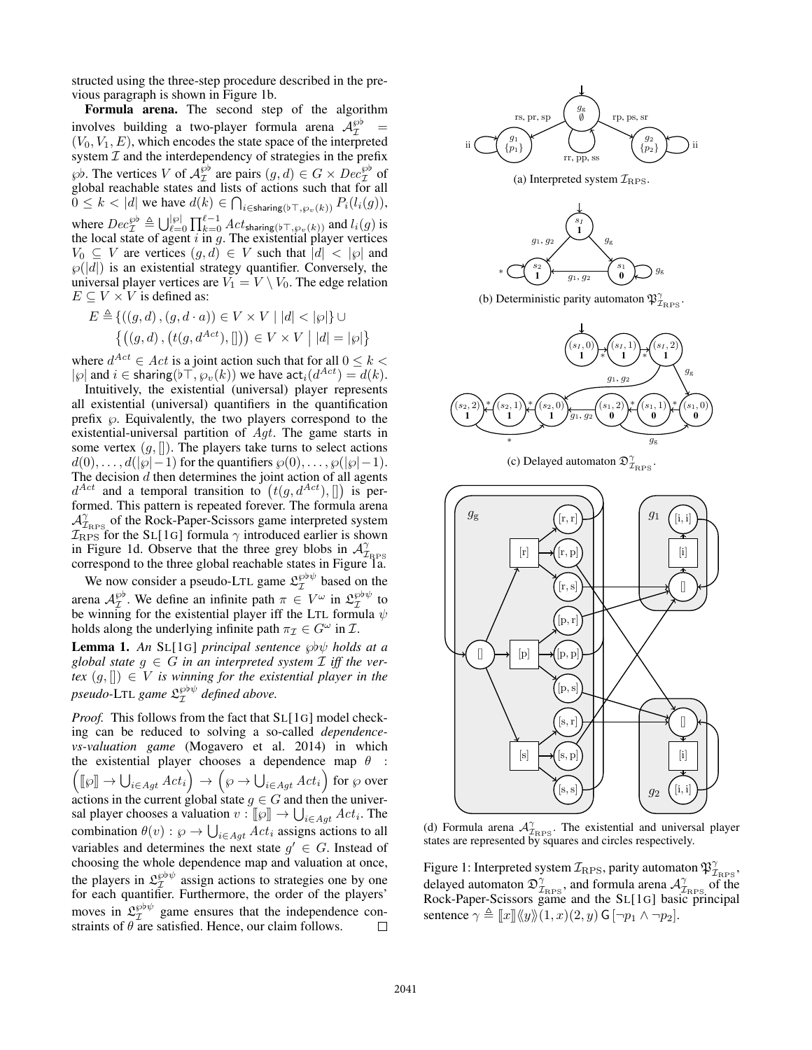structed using the three-step procedure described in the previous paragraph is shown in Figure 1b.

Formula arena. The second step of the algorithm involves building a two-player formula arena  $\mathcal{A}_{\mathcal{I}}^{\wp b}$  =  $(V_0, V_1, E)$ , which encodes the state space of the interpreted system  $I$  and the interdependency of strategies in the prefix  $\wp$ b. The vertices V of  $\mathcal{A}_{\mathcal{I}}^{\wp}$  are pairs  $(g,d) \in G \times Dec_{\mathcal{I}}^{\wp}$  of global reachable states and lists of actions such that for all  $0 \leq k < |d|$  we have  $d(k) \in \bigcap_{i \in \text{sharp}(b \top, \wp_v(k))} P_i(l_i(g)),$ where  $Dec_{\mathcal{I}}^{\wp} \triangleq \bigcup_{\ell=0}^{|\wp|} \prod_{k=0}^{\ell-1} Act_{\text{sharp}(\flat \top, \wp_{\upsilon}(k))}$  and  $l_i(g)$  is the local state of agent  $i$  in  $g$ . The existential player vertices  $V_0 \subseteq V$  are vertices  $(g, d) \in V$  such that  $|d| < |{\varphi}|$  and  $\wp(|d|)$  is an existential strategy quantifier. Conversely, the universal player vertices are  $\widetilde{V_1} = V \setminus V_0$ . The edge relation  $E \subseteq V \times V$  is defined as:

$$
E \triangleq \{ ((g, d), (g, d \cdot a)) \in V \times V \mid |d| < |\wp| \} \cup
$$
  

$$
\{ ((g, d), (t(g, d^{Act}), [])) \in V \times V \mid |d| = |\wp| \}
$$

where  $d^{Act} \in Act$  is a joint action such that for all  $0 \leq k <$  $|\wp|$  and  $i \in$  sharing( $\flat \top, \wp_{v}(k)$ ) we have  $\mathsf{act}_{i}(d^{Act}) = d(k)$ .

Intuitively, the existential (universal) player represents all existential (universal) quantifiers in the quantification prefix  $\wp$ . Equivalently, the two players correspond to the existential-universal partition of Agt. The game starts in some vertex  $(g, []$ . The players take turns to select actions  $d(0), \ldots, d(|\wp|-1)$  for the quantifiers  $\wp(0), \ldots, \wp(|\wp|-1)$ . The decision  $d$  then determines the joint action of all agents  $d^{Act}$  and a temporal transition to  $(t(g, d^{Act}), []$  is performed. This pattern is repeated forever. The formula arena  $A_{\text{Z}_{\text{RPS}}}^{\gamma}$  of the Rock-Paper-Scissors game interpreted system  $\mathcal{I}_{RPS}$  for the SL[1G] formula  $\gamma$  introduced earlier is shown in Figure 1d. Observe that the three grey blobs in  $\mathcal{A}_{\mathcal{I}_{\text{RPS}}}^{\gamma}$  correspond to the three global reachable states in Figure 1a.

We now consider a pseudo-LTL game  $\mathfrak{L}^{\text{gb}\psi}_{\mathcal{I}}$  based on the arena  $\mathcal{A}_{\mathcal{I}}^{\wp\flat}$ . We define an infinite path  $\pi \in V^{\omega}$  in  $\mathfrak{L}_{\mathcal{I}}^{\wp\flat\psi}$  to be winning for the existential player iff the LTL formula  $\psi$ holds along the underlying infinite path  $\pi_{\mathcal{I}} \in G^{\omega}$  in  $\mathcal{I}$ .

**Lemma 1.** An SL[1G] *principal sentence*  $\wp \psi$  *holds at a global state*  $g \in G$  *in an interpreted system*  $\mathcal I$  *iff the vertex*  $(g, [] \in V$  *is winning for the existential player in the* pseudo-LTL game  $\mathfrak{L}^{\wp\flat\psi}_\mathcal{I}$  defined above.

*Proof.* This follows from the fact that SL[1G] model checking can be reduced to solving a so-called *dependencevs-valuation game* (Mogavero et al. 2014) in which the existential player chooses a dependence map  $\theta$  :  $\left(\llbracket \wp \rrbracket \to \bigcup_{i \in Agt} Act_i\right) \to \left(\wp \to \bigcup_{i \in Agt} Act_i\right)$  for  $\wp$  over actions in the current global state  $g \in G$  and then the universal player chooses a valuation  $v : [\![\wp]\!] \to \bigcup_{i \in Agt} Act_i$ . The combination  $\theta(v) : \wp \to \bigcup_{i \in Agt} Act_i$  assigns actions to all variables and determines the next state  $g' \in G$ . Instead of choosing the whole dependence map and valuation at once, the players in  $\mathfrak{L}^{\wp \flat \psi}_{\mathcal{I}}$  assign actions to strategies one by one for each quantifier. Furthermore, the order of the players' moves in  $\mathfrak{L}_{\mathcal{I}}^{\wp \flat \psi}$  game ensures that the independence constraints of  $\theta$  are satisfied. Hence, our claim follows.  $\Box$ 



(b) Deterministic parity automaton  $\mathfrak{P}^{\gamma}_{\mathcal{I}_{\text{RPS}}}$ .



(c) Delayed automaton  $\mathfrak{D}^{\gamma}_{\mathcal{I}_{\text{RPS}}}$ .



(d) Formula arena  $\mathcal{A}_{\mathcal{I}_{\text{RPS}}}^{\gamma}$ . The existential and universal player states are represented by squares and circles respectively.

Figure 1: Interpreted system  $\mathcal{I}_{\text{RPS}}$ , parity automaton  $\mathfrak{P}^{\gamma}_{\mathcal{I}_{\text{RPS}}},$ delayed automaton  $\mathfrak{D}^{\gamma}_{\mathcal{I}_{\text{RPS}}}$ , and formula arena  $\mathcal{A}^{\gamma}_{\mathcal{I}_{\text{RPS}}}$  of the Rock-Paper-Scissors game and the SL[1G] basic principal sentence  $\gamma \triangleq ||x|| \langle \langle y \rangle \rangle (1, x)(2, y)$  G  $[\neg p_1 \land \neg p_2]$ .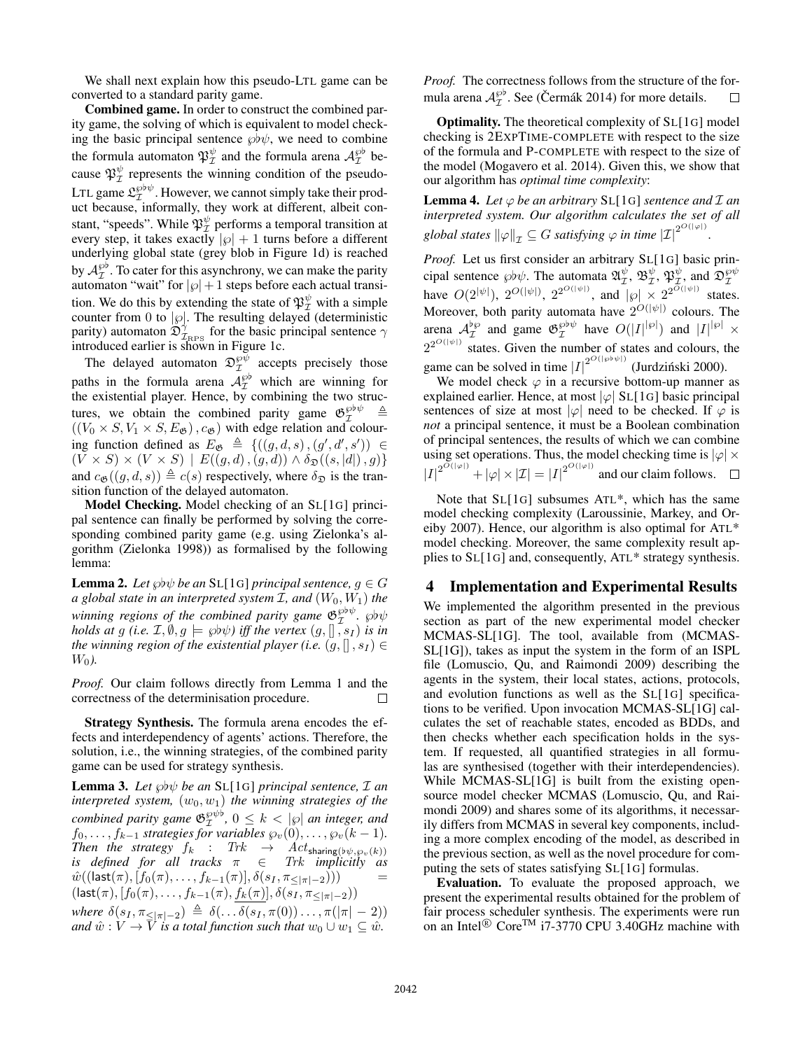We shall next explain how this pseudo-LTL game can be converted to a standard parity game.

Combined game. In order to construct the combined parity game, the solving of which is equivalent to model checking the basic principal sentence  $\wp b\psi$ , we need to combine the formula automaton  $\mathfrak{P}_\mathcal{I}^\psi$  and the formula arena  $\mathcal{A}_\mathcal{I}^{\wp b}$  because  $\mathfrak{P}_\mathcal{I}^{\psi}$  represents the winning condition of the pseudo-LTL game  $\mathfrak{L}_\mathcal{I}^{\wp\flat\psi}$ . However, we cannot simply take their product because, informally, they work at different, albeit constant, "speeds". While  $\mathfrak{P}_\mathcal{I}^\psi$  performs a temporal transition at every step, it takes exactly  $|\wp| + 1$  turns before a different underlying global state (grey blob in Figure 1d) is reached by  $\mathcal{A}_{\mathcal{I}}^{\wp\flat}$ . To cater for this asynchrony, we can make the parity automaton "wait" for  $|\wp| + 1$  steps before each actual transition. We do this by extending the state of  $\mathfrak{P}_\mathcal{I}^\psi$  with a simple counter from 0 to  $|\varphi|$ . The resulting delayed (deterministic parity) automaton  $\mathfrak{D}^{\gamma}_{\mathcal{I}_{\text{RPS}}}$  for the basic principal sentence  $\gamma$ introduced earlier is shown in Figure 1c.

The delayed automaton  $\mathfrak{D}_\mathcal{I}^{\wp\psi}$  accepts precisely those paths in the formula arena  $A_{\mathcal{I}}^{\wp}$  which are winning for the existential player. Hence, by combining the two structures, we obtain the combined parity game  $\mathfrak{G}_{\mathcal{I}}^{\otimes \flat \psi} \triangleq$  $((V_0 \times S, V_1 \times S, E_{\mathfrak{G}}), c_{\mathfrak{G}})$  with edge relation and colouring function defined as  $E_{\mathfrak{G}} \triangleq \{((g,d,s),(g',d',s')) \in$  $(V \times S) \times (V \times S) \mid E((g, d), (g, d)) \wedge \delta_{\mathfrak{D}}((s, |d|), g))$ and  $c_{\mathfrak{G}}((q, d, s)) \triangleq c(s)$  respectively, where  $\delta_{\mathfrak{D}}$  is the transition function of the delayed automaton.

Model Checking. Model checking of an SL[1G] principal sentence can finally be performed by solving the corresponding combined parity game (e.g. using Zielonka's algorithm (Zielonka 1998)) as formalised by the following lemma:

**Lemma 2.** Let  $\wp{\flat}\psi$  be an SL[1G] principal sentence,  $g \in G$ *a global state in an interpreted system* I*, and* (W0, W1) *the* winning regions of the combined parity game  $\mathfrak{G}_{\mathcal{I}}^{\wp\flat\psi}$ .  $\wp\flat\psi$ *holds at g (i.e.*  $\mathcal{I}, \emptyset, g \models \wp{b\psi}$ ) iff the vertex  $(g, []$ ,  $s_I$ ) is in *the winning region of the existential player (i.e.*  $(q, []$ ,  $s_I)$ )  $W_0$ ).

*Proof.* Our claim follows directly from Lemma 1 and the correctness of the determinisation procedure.  $\Box$ 

Strategy Synthesis. The formula arena encodes the effects and interdependency of agents' actions. Therefore, the solution, i.e., the winning strategies, of the combined parity game can be used for strategy synthesis.

**Lemma 3.** Let  $\wp b\psi$  be an SL[1G] principal sentence,  $\mathcal{I}$  an *interpreted system,*  $(w_0, w_1)$  *the winning strategies of the combined parity game*  $\mathfrak{G}_{\mathcal{I}}^{\wp\psi\flat}$ ,  $0 \leq k < |\wp|$  *an integer, and*  $f_0, \ldots, f_{k-1}$  *strategies for variables*  $\wp_v(0), \ldots, \wp_v(k-1)$ *. Then the strategy*  $f_k$  :  $Trk \rightarrow Act_{\text{sharp}(b\psi,\wp_v(k))}$ *is defined for all tracks* π ∈ Trk *implicitly as*  $\hat{w}((\textsf{last}(\pi), [f_0(\pi), \ldots, f_{k-1}(\pi)], \delta(s_I, \pi_{\leq |\pi|-2})))$  $(last(\pi), [f_0(\pi), \ldots, f_{k-1}(\pi), f_k(\pi)], \delta(s_I, \pi_{\leq |\pi|-2}))$ *where*  $\delta(s_I, \pi_{\leq |\pi|-2}) \triangleq \delta(\ldots \delta(s_I, \pi(0))\ldots, \pi(|\pi|-2))$ *and*  $\hat{w}: V \to \overline{V}$  *is a total function such that*  $w_0 \cup w_1 \subseteq \hat{w}$ *.* 

*Proof.* The correctness follows from the structure of the formula arena  $\mathcal{A}_{\mathcal{I}}^{\wp\flat}$ . See (Čermák 2014) for more details. □

Optimality. The theoretical complexity of SL[1G] model checking is 2EXPTIME-COMPLETE with respect to the size of the formula and P-COMPLETE with respect to the size of the model (Mogavero et al. 2014). Given this, we show that our algorithm has *optimal time complexity*:

**Lemma 4.** Let  $\varphi$  be an arbitrary SL[1G] sentence and  $\mathcal{I}$  an *interpreted system. Our algorithm calculates the set of all* global states  $\|\varphi\|_{\mathcal{I}} \subseteq G$  satisfying  $\varphi$  in time  $|\mathcal{I}|^{2^{O(|\varphi|)}}$ .

*Proof.* Let us first consider an arbitrary SL[1G] basic principal sentence  $\wp\nu\psi$ . The automata  $\mathfrak{A}_{\mathcal{I}}^{\psi}$ ,  $\mathfrak{B}_{\mathcal{I}}^{\psi}$ ,  $\mathfrak{P}_{\mathcal{I}}^{\psi}$ , and  $\mathfrak{D}_{\mathcal{I}}^{\wp\psi}$  have  $O(2^{|\psi|})$ ,  $2^{O(|\psi|)}$ ,  $2^{2^{O(|\psi|)}}$ , and  $|\wp| \times 2^{2^{O(|\psi|)}}$  states. Moreover, both parity automata have  $2^{O(|\psi|)}$  colours. The arena  $\mathcal{A}_{\mathcal{I}}^{\flat\wp}$  and game  $\mathfrak{G}_{\mathcal{I}}^{\wp\flat\psi}$  have  $O(|I|^{\flat\flat}|)$  and  $|I|^{\flat\flat} \times$  $2^{2^{O(|\psi|)}}$  states. Given the number of states and colours, the game can be solved in time  $|I|^{2^{O(|\wp \psi|)}}$  (Jurdziński 2000).

We model check  $\varphi$  in a recursive bottom-up manner as explained earlier. Hence, at most  $|\varphi|$  SL[1G] basic principal sentences of size at most  $|\varphi|$  need to be checked. If  $\varphi$  is *not* a principal sentence, it must be a Boolean combination of principal sentences, the results of which we can combine using set operations. Thus, the model checking time is  $|\varphi| \times$  $|I|^{2^{O(|\varphi|)}} + |\varphi| \times |\mathcal{I}| = |I|^{2^{O(|\varphi|)}}$  and our claim follows.

Note that SL[1G] subsumes ATL\*, which has the same model checking complexity (Laroussinie, Markey, and Oreiby 2007). Hence, our algorithm is also optimal for ATL\* model checking. Moreover, the same complexity result applies to SL[1G] and, consequently, ATL\* strategy synthesis.

#### 4 Implementation and Experimental Results

We implemented the algorithm presented in the previous section as part of the new experimental model checker MCMAS-SL[1G]. The tool, available from (MCMAS-SL[1G]), takes as input the system in the form of an ISPL file (Lomuscio, Qu, and Raimondi 2009) describing the agents in the system, their local states, actions, protocols, and evolution functions as well as the SL[1G] specifications to be verified. Upon invocation MCMAS-SL[1G] calculates the set of reachable states, encoded as BDDs, and then checks whether each specification holds in the system. If requested, all quantified strategies in all formulas are synthesised (together with their interdependencies). While MCMAS-SL[1G] is built from the existing opensource model checker MCMAS (Lomuscio, Qu, and Raimondi 2009) and shares some of its algorithms, it necessarily differs from MCMAS in several key components, including a more complex encoding of the model, as described in the previous section, as well as the novel procedure for computing the sets of states satisfying SL[1G] formulas.

Evaluation. To evaluate the proposed approach, we present the experimental results obtained for the problem of fair process scheduler synthesis. The experiments were run on an Intel<sup>®</sup> Core<sup>TM</sup> i7-3770 CPU 3.40GHz machine with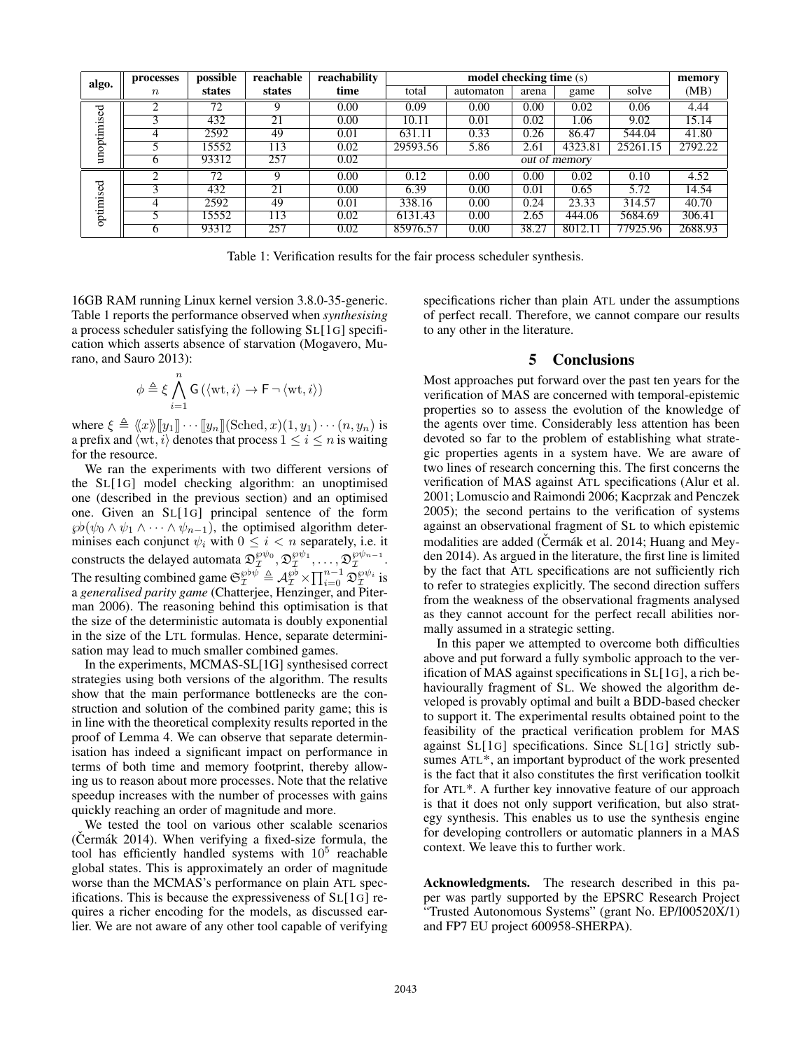| algo.       | processes        | possible | reachable | reachability | model checking time (s)    |           |       |         |          | memory  |
|-------------|------------------|----------|-----------|--------------|----------------------------|-----------|-------|---------|----------|---------|
|             | $\boldsymbol{n}$ | states   | states    | time         | total                      | automaton | arena | game    | solve    | (MB)    |
| unoptimised | ◠                | 72       | 9         | 0.00         | 0.09                       | 0.00      | 0.00  | 0.02    | 0.06     | 4.44    |
|             |                  | 432      | 21        | 0.00         | 10.11                      | 0.01      | 0.02  | 1.06    | 9.02     | 15.14   |
|             | 4                | 2592     | 49        | 0.01         | 631.11                     | 0.33      | 0.26  | 86.47   | 544.04   | 41.80   |
|             |                  | 15552    | 113       | 0.02         | 29593.56                   | 5.86      | 2.61  | 4323.81 | 25261.15 | 2792.22 |
|             | h                | 93312    | 257       | 0.02         | $\overline{out}$ of memory |           |       |         |          |         |
| optimised   | 2                | 72       | 9         | 0.00         | 0.12                       | 0.00      | 0.00  | 0.02    | 0.10     | 4.52    |
|             |                  | 432      | 21        | 0.00         | 6.39                       | 0.00      | 0.01  | 0.65    | 5.72     | 14.54   |
|             | 4                | 2592     | 49        | 0.01         | 338.16                     | 0.00      | 0.24  | 23.33   | 314.57   | 40.70   |
|             |                  | 15552    | 113       | 0.02         | 6131.43                    | 0.00      | 2.65  | 444.06  | 5684.69  | 306.41  |
|             | h                | 93312    | 257       | 0.02         | 85976.57                   | 0.00      | 38.27 | 8012.11 | 77925.96 | 2688.93 |

Table 1: Verification results for the fair process scheduler synthesis.

16GB RAM running Linux kernel version 3.8.0-35-generic. Table 1 reports the performance observed when *synthesising* a process scheduler satisfying the following SL[1G] specification which asserts absence of starvation (Mogavero, Murano, and Sauro 2013):

$$
\phi \triangleq \xi \bigwedge_{i=1}^{n} \mathsf{G}\left(\langle \mathrm{wt}, i \rangle \rightarrow \mathsf{F} \neg \langle \mathrm{wt}, i \rangle \right)
$$

where  $\xi \triangleq \langle x \rangle \langle [y_1] \rangle \cdots [y_n] \langle \text{Sched}, x \rangle (1, y_1) \cdots (n, y_n)$  is a prefix and  $\langle \text{wt}, i \rangle$  denotes that process  $1 \leq i \leq n$  is waiting for the resource.

We ran the experiments with two different versions of the SL[1G] model checking algorithm: an unoptimised one (described in the previous section) and an optimised one. Given an SL[1G] principal sentence of the form  $\wp(\psi_0 \wedge \psi_1 \wedge \cdots \wedge \psi_{n-1}),$  the optimised algorithm determinises each conjunct  $\psi_i$  with  $0 \leq i < n$  separately, i.e. it constructs the delayed automata  $\mathfrak{D}_\mathcal{I}^{\wp\psi_0}, \mathfrak{D}_\mathcal{I}^{\wp\psi_1}, \ldots, \mathfrak{D}_\mathcal{I}^{\wp\psi_{n-1}}.$ The resulting combined game  $\mathfrak{S}_{\mathcal{I}}^{\wp \flat \psi} \triangleq \mathcal{A}_{\mathcal{I}}^{\wp \flat} \times \prod_{i=0}^{n-1} \mathfrak{D}_{\mathcal{I}}^{\wp \psi_i}$  is a *generalised parity game* (Chatterjee, Henzinger, and Piterman 2006). The reasoning behind this optimisation is that the size of the deterministic automata is doubly exponential in the size of the LTL formulas. Hence, separate determinisation may lead to much smaller combined games.

In the experiments, MCMAS-SL[1G] synthesised correct strategies using both versions of the algorithm. The results show that the main performance bottlenecks are the construction and solution of the combined parity game; this is in line with the theoretical complexity results reported in the proof of Lemma 4. We can observe that separate determinisation has indeed a significant impact on performance in terms of both time and memory footprint, thereby allowing us to reason about more processes. Note that the relative speedup increases with the number of processes with gains quickly reaching an order of magnitude and more.

We tested the tool on various other scalable scenarios  $(Cermák 2014)$ . When verifying a fixed-size formula, the tool has efficiently handled systems with  $10^5$  reachable global states. This is approximately an order of magnitude worse than the MCMAS's performance on plain ATL specifications. This is because the expressiveness of SL[1G] requires a richer encoding for the models, as discussed earlier. We are not aware of any other tool capable of verifying specifications richer than plain ATL under the assumptions of perfect recall. Therefore, we cannot compare our results to any other in the literature.

### 5 Conclusions

Most approaches put forward over the past ten years for the verification of MAS are concerned with temporal-epistemic properties so to assess the evolution of the knowledge of the agents over time. Considerably less attention has been devoted so far to the problem of establishing what strategic properties agents in a system have. We are aware of two lines of research concerning this. The first concerns the verification of MAS against ATL specifications (Alur et al. 2001; Lomuscio and Raimondi 2006; Kacprzak and Penczek 2005); the second pertains to the verification of systems against an observational fragment of SL to which epistemic modalities are added (Cermák et al. 2014; Huang and Meyden 2014). As argued in the literature, the first line is limited by the fact that ATL specifications are not sufficiently rich to refer to strategies explicitly. The second direction suffers from the weakness of the observational fragments analysed as they cannot account for the perfect recall abilities normally assumed in a strategic setting.

In this paper we attempted to overcome both difficulties above and put forward a fully symbolic approach to the verification of MAS against specifications in SL[1G], a rich behaviourally fragment of SL. We showed the algorithm developed is provably optimal and built a BDD-based checker to support it. The experimental results obtained point to the feasibility of the practical verification problem for MAS against SL[1G] specifications. Since SL[1G] strictly subsumes ATL\*, an important byproduct of the work presented is the fact that it also constitutes the first verification toolkit for ATL\*. A further key innovative feature of our approach is that it does not only support verification, but also strategy synthesis. This enables us to use the synthesis engine for developing controllers or automatic planners in a MAS context. We leave this to further work.

Acknowledgments. The research described in this paper was partly supported by the EPSRC Research Project "Trusted Autonomous Systems" (grant No. EP/I00520X/1) and FP7 EU project 600958-SHERPA).